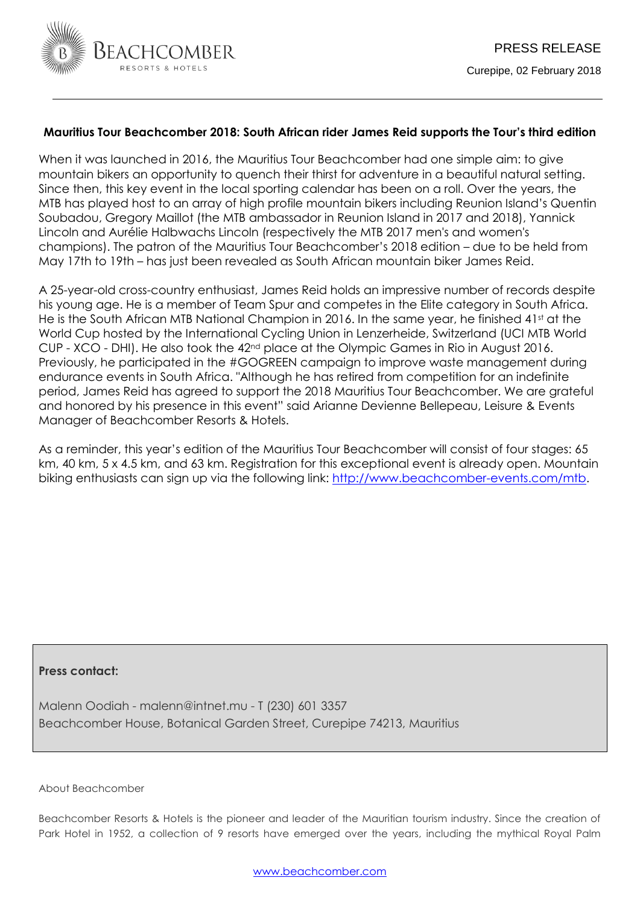

## **Mauritius Tour Beachcomber 2018: South African rider James Reid supports the Tour's third edition**

When it was launched in 2016, the Mauritius Tour Beachcomber had one simple aim: to give mountain bikers an opportunity to quench their thirst for adventure in a beautiful natural setting. Since then, this key event in the local sporting calendar has been on a roll. Over the years, the MTB has played host to an array of high profile mountain bikers including Reunion Island's Quentin Soubadou, Gregory Maillot (the MTB ambassador in Reunion Island in 2017 and 2018), Yannick Lincoln and Aurélie Halbwachs Lincoln (respectively the MTB 2017 men's and women's champions). The patron of the Mauritius Tour Beachcomber's 2018 edition – due to be held from May 17th to 19th – has just been revealed as South African mountain biker James Reid.

A 25-year-old cross-country enthusiast, James Reid holds an impressive number of records despite his young age. He is a member of Team Spur and competes in the Elite category in South Africa. He is the South African MTB National Champion in 2016. In the same year, he finished  $41<sup>st</sup>$  at the World Cup hosted by the International Cycling Union in Lenzerheide, Switzerland (UCI MTB World CUP - XCO - DHI). He also took the 42nd place at the Olympic Games in Rio in August 2016. Previously, he participated in the #GOGREEN campaign to improve waste management during endurance events in South Africa. "Although he has retired from competition for an indefinite period, James Reid has agreed to support the 2018 Mauritius Tour Beachcomber. We are grateful and honored by his presence in this event" said Arianne Devienne Bellepeau, Leisure & Events Manager of Beachcomber Resorts & Hotels.

As a reminder, this year's edition of the Mauritius Tour Beachcomber will consist of four stages: 65 km, 40 km, 5 x 4.5 km, and 63 km. Registration for this exceptional event is already open. Mountain biking enthusiasts can sign up via the following link: [http://www.beachcomber-events.com/mtb.](http://www.beachcomber-events.com/mtb)

## **Press contact:**

Malenn Oodiah - malenn@intnet.mu - T (230) 601 3357 Beachcomber House, Botanical Garden Street, Curepipe 74213, Mauritius

About Beachcomber

Beachcomber Resorts & Hotels is the pioneer and leader of the Mauritian tourism industry. Since the creation of Park Hotel in 1952, a collection of 9 resorts have emerged over the years, including the mythical Royal Palm